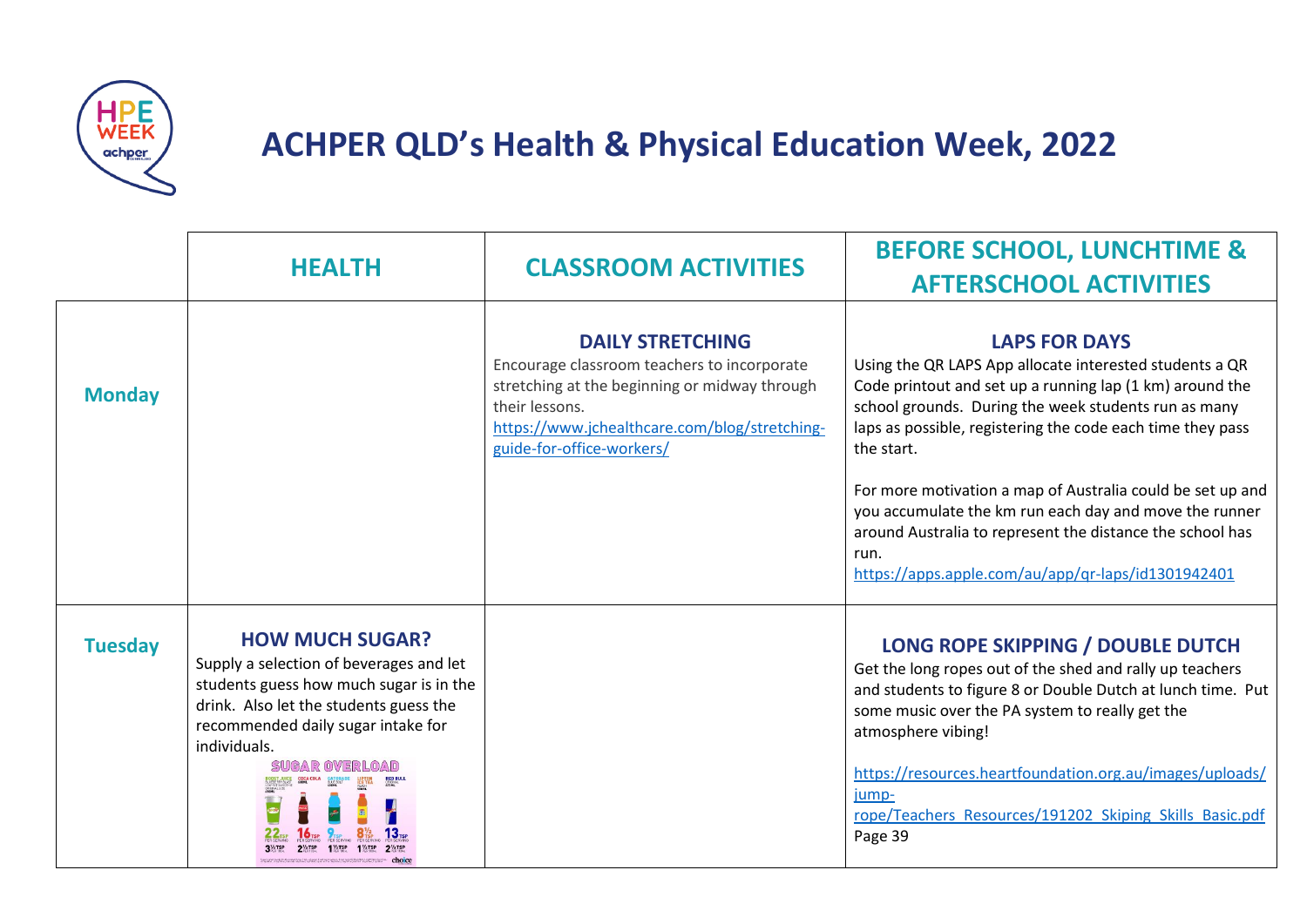

## **ACHPER QLD's Health & Physical Education Week, 2022**

|                | <b>HEALTH</b>                                                                                                                                                                                                | <b>CLASSROOM ACTIVITIES</b>                                                                                                                                                                                             | <b>BEFORE SCHOOL, LUNCHTIME &amp;</b><br><b>AFTERSCHOOL ACTIVITIES</b>                                                                                                                                                                                                                                                                                                                                                                                                                                                             |
|----------------|--------------------------------------------------------------------------------------------------------------------------------------------------------------------------------------------------------------|-------------------------------------------------------------------------------------------------------------------------------------------------------------------------------------------------------------------------|------------------------------------------------------------------------------------------------------------------------------------------------------------------------------------------------------------------------------------------------------------------------------------------------------------------------------------------------------------------------------------------------------------------------------------------------------------------------------------------------------------------------------------|
| <b>Monday</b>  |                                                                                                                                                                                                              | <b>DAILY STRETCHING</b><br>Encourage classroom teachers to incorporate<br>stretching at the beginning or midway through<br>their lessons.<br>https://www.jchealthcare.com/blog/stretching-<br>guide-for-office-workers/ | <b>LAPS FOR DAYS</b><br>Using the QR LAPS App allocate interested students a QR<br>Code printout and set up a running lap (1 km) around the<br>school grounds. During the week students run as many<br>laps as possible, registering the code each time they pass<br>the start.<br>For more motivation a map of Australia could be set up and<br>you accumulate the km run each day and move the runner<br>around Australia to represent the distance the school has<br>run.<br>https://apps.apple.com/au/app/qr-laps/id1301942401 |
| <b>Tuesday</b> | <b>HOW MUCH SUGAR?</b><br>Supply a selection of beverages and let<br>students guess how much sugar is in the<br>drink. Also let the students guess the<br>recommended daily sugar intake for<br>individuals. |                                                                                                                                                                                                                         | LONG ROPE SKIPPING / DOUBLE DUTCH<br>Get the long ropes out of the shed and rally up teachers<br>and students to figure 8 or Double Dutch at lunch time. Put<br>some music over the PA system to really get the<br>atmosphere vibing!<br>https://resources.heartfoundation.org.au/images/uploads/<br>jump-<br>rope/Teachers Resources/191202 Skiping Skills Basic.pdf<br>Page 39                                                                                                                                                   |